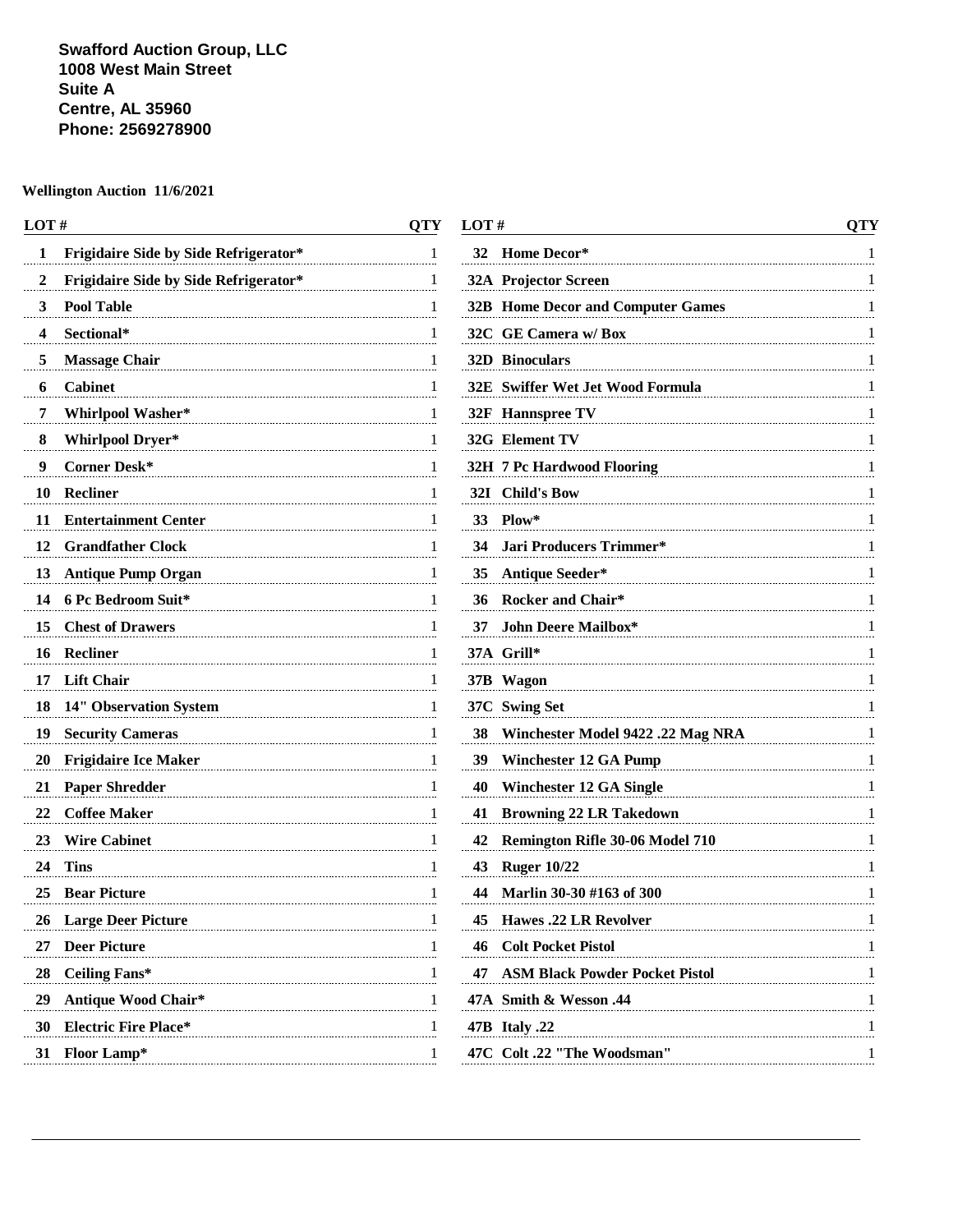**Swafford Auction Group, LLC 1008 West Main Street Suite A Centre, AL 35960 Phone: 2569278900**

| LOT#                                              | QTY |
|---------------------------------------------------|-----|
| <b>Frigidaire Side by Side Refrigerator*</b><br>1 | 1   |
| Frigidaire Side by Side Refrigerator*<br>2        | 1   |
| <b>Pool Table</b><br>3                            | 1   |
| Sectional*<br>4                                   | 1   |
| <b>Massage Chair</b><br>5                         | 1   |
| <b>Cabinet</b><br>6                               | 1   |
| 7<br>Whirlpool Washer*                            | 1   |
| <b>Whirlpool Dryer*</b><br>8                      | 1   |
| Corner Desk*<br>9                                 | I   |
| <b>Recliner</b><br>10                             | I   |
| <b>Entertainment Center</b><br>11                 | 1   |
| 12<br><b>Grandfather Clock</b>                    | 1   |
| 13<br><b>Antique Pump Organ</b>                   | 1   |
| 6 Pc Bedroom Suit*<br>14                          | 1   |
| <b>Chest of Drawers</b><br>15                     | 1   |
| <b>Recliner</b><br>16                             | I   |
| 17<br><b>Lift Chair</b>                           | 1   |
| 18<br><b>14" Observation System</b>               | 1   |
| 19<br><b>Security Cameras</b>                     | 1   |
| 20<br><b>Frigidaire Ice Maker</b>                 | 1   |
| <b>Paper Shredder</b><br>21                       | 1   |
| <b>Coffee Maker</b><br>22                         | 1   |
| <b>Wire Cabinet</b><br>23                         | I   |
| 24<br><b>Tins</b>                                 | 1   |
| <b>Bear Picture</b><br>25                         | 1   |
| 26<br><b>Large Deer Picture</b>                   |     |
| 27<br><b>Deer Picture</b>                         | 1   |
| <b>Ceiling Fans*</b><br>28                        | 1   |
| <b>Antique Wood Chair*</b><br>29                  | 1   |
| <b>Electric Fire Place*</b><br>30                 | 1   |
| 31<br><b>Floor Lamp*</b>                          | 1   |
|                                                   |     |

| OТY |
|-----|
| 1   |
| 1   |
| 1   |
| 1   |
| 1   |
| 1   |
| 1   |
| 1   |
| 1   |
| 1   |
| 1   |
| 1   |
| 1   |
| 1   |
| 1   |
| 1   |
| 1   |
| 1   |
| 1   |
| 1   |
| 1   |
| 1   |
| 1   |
| 1   |
| 1   |
| 1   |
| 1   |
| 1   |
| 1   |
| 1   |
| 1   |
|     |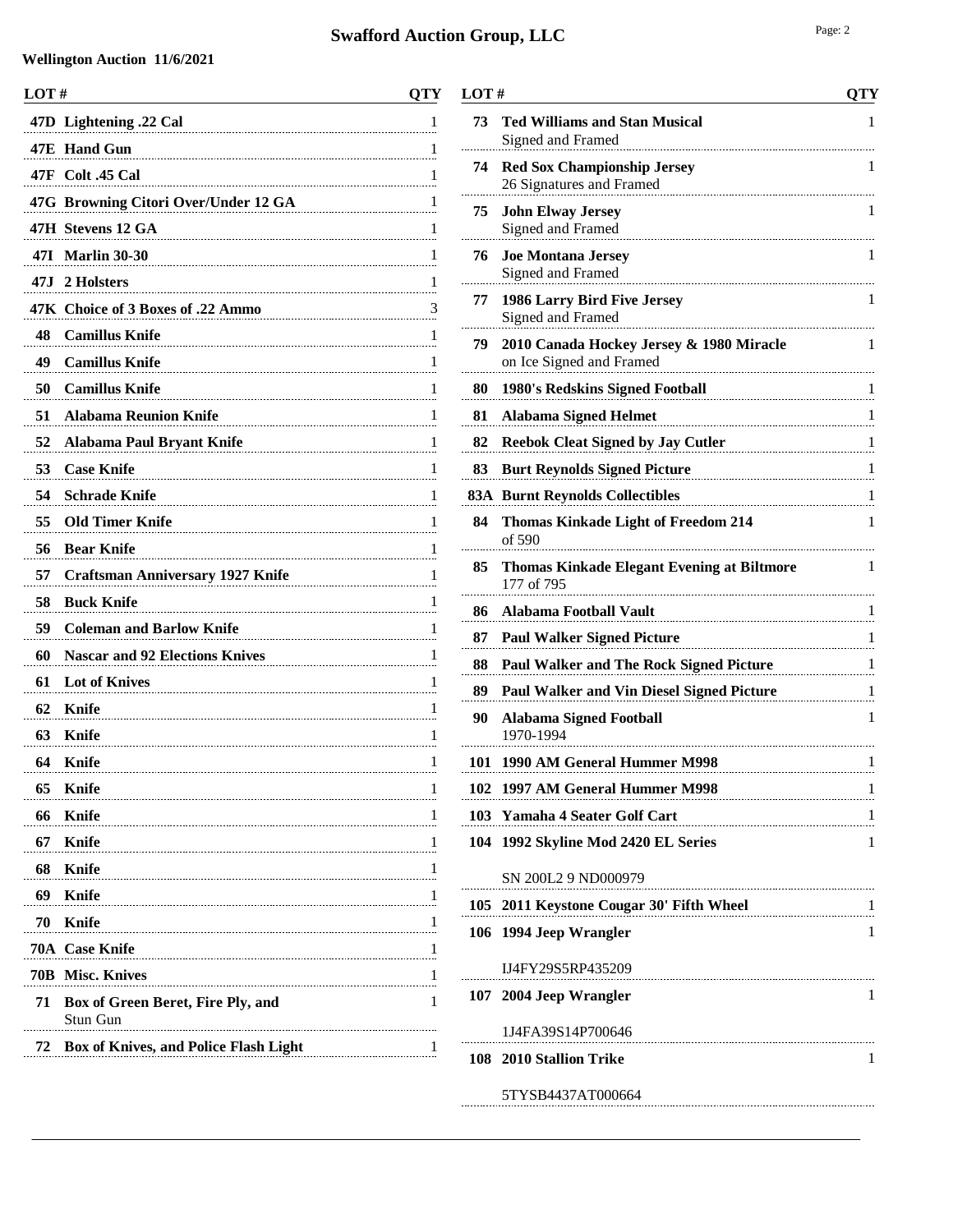| LOT# |                                              | <b>QTY</b> |
|------|----------------------------------------------|------------|
|      | 47D Lightening .22 Cal                       | 1          |
|      | 47E Hand Gun                                 | 1          |
|      | 47F Colt .45 Cal                             | 1          |
|      | 47G Browning Citori Over/Under 12 GA         | 1          |
|      | 47H Stevens 12 GA                            | 1          |
|      | 47I Marlin 30-30                             | 1          |
|      | 47J 2 Holsters                               | 1          |
|      | 47K Choice of 3 Boxes of .22 Ammo            | 3          |
| 48   | <b>Camillus Knife</b>                        | 1          |
| 49   | <b>Camillus Knife</b>                        | 1          |
| 50   | <b>Camillus Knife</b>                        | 1          |
| 51   | <b>Alabama Reunion Knife</b>                 | 1          |
| 52   | Alabama Paul Bryant Knife                    | 1          |
| 53   | <b>Case Knife</b>                            | 1          |
| 54   | <b>Schrade Knife</b>                         | 1          |
| 55   | <b>Old Timer Knife</b>                       | 1          |
| 56   | <b>Bear Knife</b>                            | 1          |
| 57   | <b>Craftsman Anniversary 1927 Knife</b>      | 1          |
| 58   | <b>Buck Knife</b>                            | 1          |
| 59   | <b>Coleman and Barlow Knife</b>              | 1          |
| 60   | <b>Nascar and 92 Elections Knives</b>        | 1          |
| 61   | <b>Lot of Knives</b>                         | 1          |
| 62   | Knife                                        | 1          |
| 63   | Knife                                        | 1          |
| 64   | <b>Knife</b>                                 | 1          |
| 65   | <b>Knife</b>                                 | 1          |
| 66   | <b>Knife</b>                                 | 1          |
| 67   | Knife                                        | 1          |
| 68   | Knife                                        | 1          |
| 69   | <b>Knife</b>                                 | 1          |
| 70   | Knife                                        | 1          |
|      | 70A Case Knife                               | 1          |
|      | 70B Misc. Knives                             | 1          |
| 71   | Box of Green Beret, Fire Ply, and            | 1          |
|      | Stun Gun                                     |            |
| 72   | <b>Box of Knives, and Police Flash Light</b> | 1          |
|      |                                              |            |

| LOT# |                                                                                  | QTY |
|------|----------------------------------------------------------------------------------|-----|
| 73   | <b>Ted Williams and Stan Musical</b><br>Signed and Framed                        | 1   |
| 74   | <b>Red Sox Championship Jersey</b><br>26 Signatures and Framed                   | T   |
| 75   | <b>John Elway Jersey</b><br>Signed and Framed                                    | 1   |
| 76   | <b>Joe Montana Jersey</b><br>Signed and Framed                                   | 1   |
| 77   | 1986 Larry Bird Five Jersey<br>Signed and Framed                                 | 1   |
| 79   | 2010 Canada Hockey Jersey & 1980 Miracle<br>on Ice Signed and Framed             | 1   |
| 80   | 1980's Redskins Signed Football                                                  | 1   |
| 81   | <b>Alabama Signed Helmet</b>                                                     | 1   |
| 82   | <b>Reebok Cleat Signed by Jay Cutler</b>                                         | 1   |
| 83   | <b>Burt Reynolds Signed Picture</b><br>and a concentration of the second service | 1   |
| 83A  | <b>Burnt Reynolds Collectibles</b>                                               | 1   |
| 84   | <b>Thomas Kinkade Light of Freedom 214</b><br>of 590                             | 1   |
| 85   | <b>Thomas Kinkade Elegant Evening at Biltmore</b><br>177 of 795                  | 1   |
| 86   | Alabama Football Vault                                                           | 1   |
| 87   | <b>Paul Walker Signed Picture</b>                                                | 1   |
| 88   | <b>Paul Walker and The Rock Signed Picture</b>                                   | 1   |
| 89   | Paul Walker and Vin Diesel Signed Picture                                        | 1   |
| 90   | <b>Alabama Signed Football</b><br>1970-1994                                      | 1   |
| 101  | 1990 AM General Hummer M998                                                      | 1   |
|      | 102 1997 AM General Hummer M998                                                  | 1   |
|      | 103 Yamaha 4 Seater Golf Cart<br>$\frac{1}{2}$                                   |     |
|      | 104 1992 Skyline Mod 2420 EL Series                                              | 1   |
|      | SN 200L2 9 ND000979                                                              |     |
|      | 105 2011 Keystone Cougar 30' Fifth Wheel                                         | 1   |
|      | 106 1994 Jeep Wrangler                                                           | 1   |
|      | IJ4FY29S5RP435209                                                                |     |
|      | 107 2004 Jeep Wrangler                                                           | 1   |
|      | 1J4FA39S14P700646                                                                |     |
|      | 108 2010 Stallion Trike                                                          | 1   |
|      | 5TYSB4437AT000664                                                                |     |
|      |                                                                                  |     |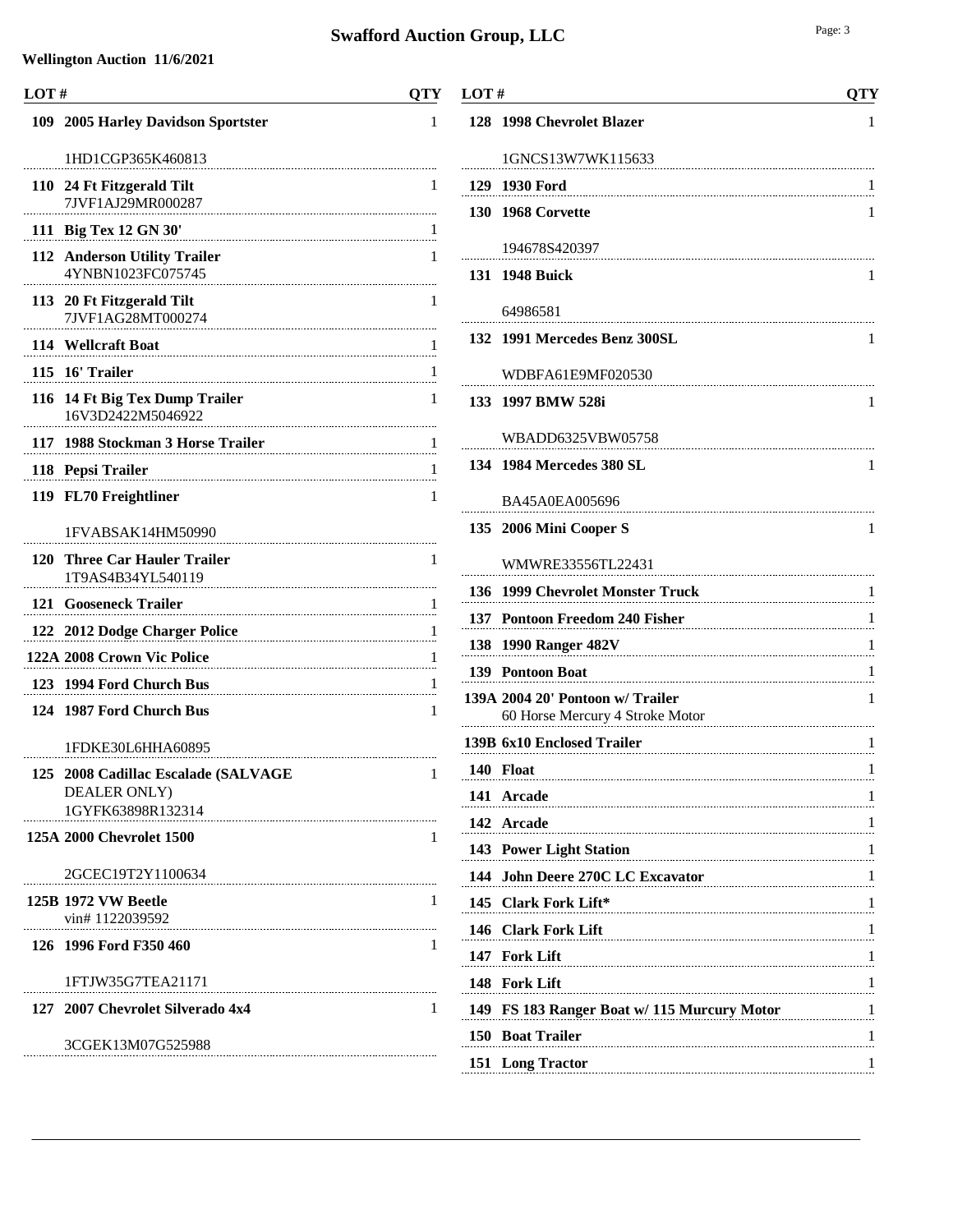| LOT# |                                                                          | QTY |
|------|--------------------------------------------------------------------------|-----|
|      | 109 2005 Harley Davidson Sportster                                       | 1   |
|      | 1HD1CGP365K460813                                                        |     |
|      | 110 24 Ft Fitzgerald Tilt<br>7JVF1AJ29MR000287                           | 1   |
|      | 111 Big Tex 12 GN 30'                                                    | 1   |
|      | 112 Anderson Utility Trailer<br>4YNBN1023FC075745                        | 1   |
|      | 113 20 Ft Fitzgerald Tilt<br>7JVF1AG28MT000274                           | 1   |
|      | 114 Wellcraft Boat                                                       | 1   |
|      | 115 16' Trailer                                                          | 1   |
|      | 116 14 Ft Big Tex Dump Trailer<br>16V3D2422M5046922                      | 1   |
| 117  | 1988 Stockman 3 Horse Trailer                                            | 1   |
|      | 118 Pepsi Trailer                                                        | 1   |
|      | 119 FL70 Freightliner                                                    | 1   |
|      | 1FVABSAK14HM50990                                                        |     |
| 120  | <b>Three Car Hauler Trailer</b><br>1T9AS4B34YL540119                     | 1   |
|      | 121 Gooseneck Trailer                                                    | 1   |
|      | 122 2012 Dodge Charger Police<br>                                        | 1   |
|      | 122A 2008 Crown Vic Police                                               | 1   |
|      | 123 1994 Ford Church Bus                                                 | 1   |
|      | 124 1987 Ford Church Bus                                                 | 1   |
|      | 1FDKE30L6HHA60895                                                        |     |
|      | 125 2008 Cadillac Escalade (SALVAGE<br>DEALER ONLY)<br>1GYFK63898R132314 |     |
|      | 125A 2000 Chevrolet 1500                                                 | 1   |
|      | 2GCEC19T2Y1100634                                                        |     |
|      | <b>125B 1972 VW Beetle</b><br>vin#1122039592                             | 1   |
|      | 126 1996 Ford F350 460                                                   | 1   |
|      | 1FTJW35G7TEA21171                                                        |     |
|      | 127 2007 Chevrolet Silverado 4x4                                         | 1   |
|      | 3CGEK13M07G525988                                                        |     |
|      |                                                                          |     |

| LOT# |                                                                     | <b>OTY</b> |
|------|---------------------------------------------------------------------|------------|
|      | 128 1998 Chevrolet Blazer                                           | 1          |
|      | 1GNCS13W7WK115633                                                   |            |
|      | 129 1930 Ford                                                       |            |
|      | <b>130 1968 Corvette</b>                                            | 1          |
|      | 194678S420397                                                       |            |
|      | 131 1948 Buick                                                      | 1          |
|      | 64986581                                                            |            |
|      | 132 1991 Mercedes Benz 300SL                                        | 1          |
|      | WDBFA61E9MF020530                                                   |            |
|      | 133 1997 BMW 528i                                                   | 1          |
|      |                                                                     |            |
|      | WBADD6325VBW05758                                                   |            |
|      | 134 1984 Mercedes 380 SL                                            | 1          |
|      | BA45A0EA005696                                                      |            |
|      | 135 2006 Mini Cooper S                                              | 1          |
|      | WMWRE33556TL22431                                                   |            |
|      | 136 1999 Chevrolet Monster Truck                                    | 1          |
|      | 137 Pontoon Freedom 240 Fisher                                      | 1          |
|      | 138 1990 Ranger 482V                                                | 1          |
|      | 139 Pontoon Boat                                                    | 1          |
|      | 139A 2004 20' Pontoon w/ Trailer<br>60 Horse Mercury 4 Stroke Motor | 1          |
|      | 139B 6x10 Enclosed Trailer                                          | 1          |
|      | 140 Float                                                           | 1          |
|      | 141 Arcade                                                          | 1          |
|      | 142 Arcade                                                          | 1          |
|      | 143 Power Light Station                                             | 1          |
|      | 144 John Deere 270C LC Excavator                                    | 1          |
|      | 145 Clark Fork Lift*                                                | 1          |
|      | 146 Clark Fork Lift                                                 |            |
|      | 147 Fork Lift                                                       | 1          |
|      | 148 Fork Lift                                                       | 1          |
|      | 149 FS 183 Ranger Boat w/ 115 Murcury Motor                         | 1          |
|      | 150 Boat Trailer                                                    | 1          |
|      | 151 Long Tractor                                                    | 1          |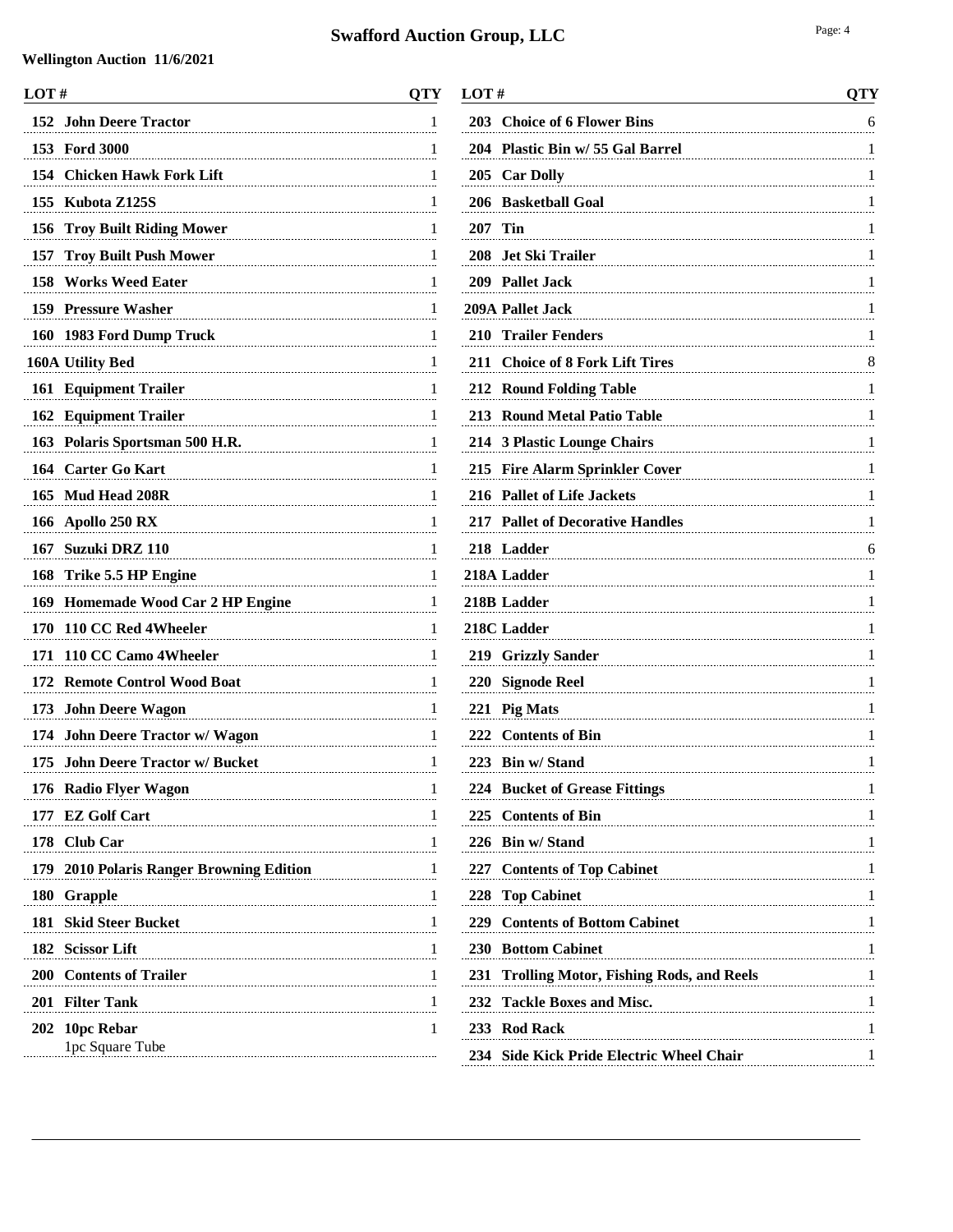| LOT#                                               | <b>QTY</b> |
|----------------------------------------------------|------------|
| 152<br><b>John Deere Tractor</b>                   | 1          |
| 153 Ford 3000                                      | 1          |
| 154<br><b>Chicken Hawk Fork Lift</b>               | 1          |
| 155<br>Kubota Z125S                                | 1          |
| 156<br><b>Troy Built Riding Mower</b>              | 1          |
| <b>Troy Built Push Mower</b><br>157                | 1          |
| <b>Works Weed Eater</b><br>158                     | 1          |
| 159 Pressure Washer                                | 1          |
| 160 1983 Ford Dump Truck                           | 1          |
| 160A Utility Bed                                   | 1          |
| 161 Equipment Trailer                              | 1          |
| <b>162 Equipment Trailer</b>                       | 1          |
| 163 Polaris Sportsman 500 H.R.                     | 1          |
| 164 Carter Go Kart                                 | 1          |
| 165<br><b>Mud Head 208R</b>                        | 1          |
| 166<br>Apollo 250 RX                               | 1          |
| 167<br>Suzuki DRZ 110                              | 1          |
| 168<br>Trike 5.5 HP Engine                         | 1          |
| 169 Homemade Wood Car 2 HP Engine                  | 1          |
| 170<br>110 CC Red 4Wheeler                         | 1          |
| 110 CC Camo 4Wheeler<br>171                        | 1          |
| 172<br><b>Remote Control Wood Boat</b>             | 1          |
| 173 John Deere Wagon                               | 1          |
| 174<br><b>John Deere Tractor w/ Wagon</b>          | 1          |
| <b>John Deere Tractor w/ Bucket</b><br>175         | 1          |
| <b>Radio Flyer Wagon</b><br>176                    | 1          |
| <b>EZ Golf Cart</b><br>177                         | 1          |
| <b>Club Car</b><br>178                             | 1          |
| <b>2010 Polaris Ranger Browning Edition</b><br>179 | 1          |
| <b>180</b><br><b>Grapple</b>                       | 1          |
| 181<br><b>Skid Steer Bucket</b>                    | 1          |
| 182<br><b>Scissor Lift</b>                         | 1          |
| 200<br><b>Contents of Trailer</b>                  | 1          |
| 201<br><b>Filter Tank</b>                          | 1          |
| 202<br>10pc Rebar                                  | 1          |
| 1pc Square Tube                                    |            |

| LOT#                                            | QTY           |
|-------------------------------------------------|---------------|
| 203 Choice of 6 Flower Bins                     | 6             |
| Plastic Bin w/ 55 Gal Barrel<br>204             | 1             |
| 205<br><b>Car Dolly</b>                         | 1             |
| <b>Basketball Goal</b><br>206                   | 1             |
| 207<br>Tin                                      | 1             |
| 208<br>Jet Ski Trailer                          | 1             |
| 209 Pallet Jack                                 | 1             |
| 209A Pallet Jack                                | 1             |
| 210 Trailer Fenders                             | 1             |
| 211 Choice of 8 Fork Lift Tires                 | 8             |
| 212<br><b>Round Folding Table</b>               | 1             |
| 213 Round Metal Patio Table                     | 1             |
| 214 3 Plastic Lounge Chairs                     | 1             |
| 215 Fire Alarm Sprinkler Cover                  | 1             |
| 216 Pallet of Life Jackets                      | 1             |
| 217 Pallet of Decorative Handles                | 1             |
| 218 Ladder                                      | 6             |
| 218A Ladder                                     | 1             |
| 218B Ladder                                     | 1             |
| 218C Ladder                                     | 1             |
| 219 Grizzly Sander                              | 1             |
| 220<br><b>Signode Reel</b>                      | 1             |
| 221 Pig Mats                                    | 1             |
| 222 Contents of Bin                             | 1             |
| 223 Bin w/ Stand                                | 1             |
| 224 Bucket of Grease Fittings                   | -1            |
| 225 Contents of Bin                             |               |
| 226 Bin w/ Stand                                |               |
| 227 Contents of Top Cabinet                     |               |
| 228 Top Cabinet                                 | 1             |
| 229 Contents of Bottom Cabinet<br>$\frac{1}{2}$ |               |
| 230 Bottom Cabinet                              |               |
| 231 Trolling Motor, Fishing Rods, and Reels     | $\frac{1}{2}$ |
| 232 Tackle Boxes and Misc.                      |               |
| 233 Rod Rack                                    |               |
| 234 Side Kick Pride Electric Wheel Chair        | 1             |
|                                                 |               |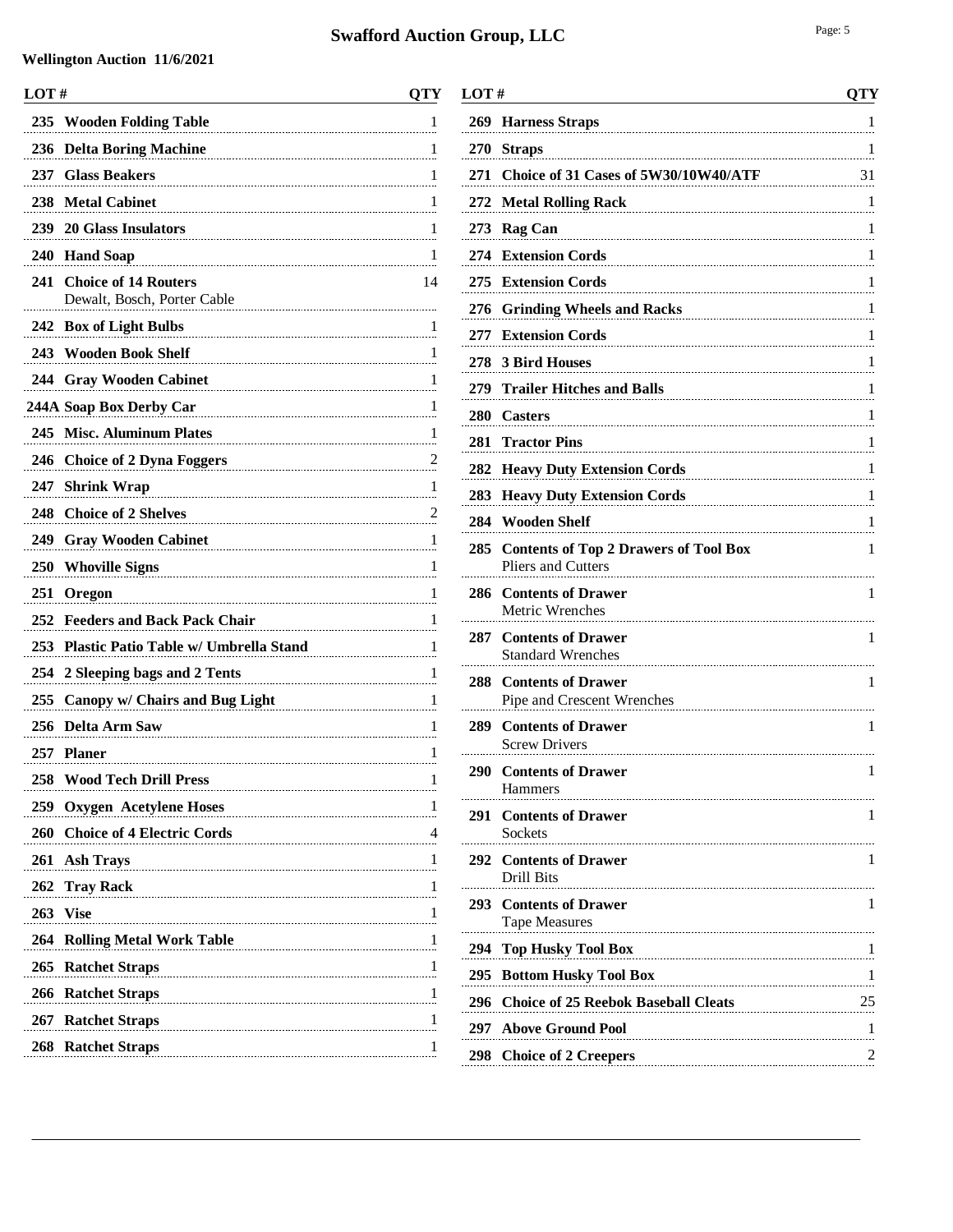#### **Swafford Auction Group**

| LOT#       |                                                            | QTY                           |
|------------|------------------------------------------------------------|-------------------------------|
| 235        | <b>Wooden Folding Table</b>                                | 1                             |
| 236        | <b>Delta Boring Machine</b>                                | 1                             |
| 237        | <b>Glass Beakers</b>                                       | 1                             |
| 238        | <b>Metal Cabinet</b>                                       | 1                             |
|            | 239 20 Glass Insulators                                    | 1                             |
| 240        | <b>Hand Soap</b>                                           | 1                             |
| 241        | <b>Choice of 14 Routers</b><br>Dewalt, Bosch, Porter Cable | 14                            |
|            | 242 Box of Light Bulbs                                     | 1                             |
|            | 243 Wooden Book Shelf                                      | 1                             |
|            | 244 Gray Wooden Cabinet                                    | 1                             |
|            | 244A Soap Box Derby Car                                    | 1                             |
|            | 245 Misc. Aluminum Plates                                  | 1                             |
|            | 246 Choice of 2 Dyna Foggers                               | 2                             |
| 247        | <b>Shrink Wrap</b>                                         | 1                             |
| 248        | <b>Choice of 2 Shelves</b>                                 | $\frac{2}{\cdot \cdot \cdot}$ |
| 249        | <b>Gray Wooden Cabinet</b>                                 | 1                             |
| <b>250</b> | <b>Whoville Signs</b>                                      | 1                             |
| 251        | <b>Oregon</b>                                              | 1                             |
| 252        | <b>Feeders and Back Pack Chair</b>                         | 1                             |
| 253        | Plastic Patio Table w/ Umbrella Stand                      | 1                             |
| 254        | 2 Sleeping bags and 2 Tents                                | 1                             |
| 255        | <b>Canopy w/ Chairs and Bug Light</b>                      | 1                             |
| 256        | <b>Delta Arm Saw</b>                                       | 1                             |
| 257        | <b>Planer</b>                                              | 1                             |
|            | 258 Wood Tech Drill Press<br>1                             | 1                             |
| 259        | <b>Oxygen Acetylene Hoses</b>                              | 1                             |
|            | 260 Choice of 4 Electric Cords                             | 4                             |
|            | 261 Ash Trays                                              | 1                             |
|            | 262 Tray Rack                                              | 1                             |
|            | 263 Vise                                                   | 1                             |
| 264        | <b>Rolling Metal Work Table</b>                            | $\frac{1}{2}$                 |
|            | 265 Ratchet Straps                                         | 1                             |
|            | 266 Ratchet Straps                                         | 1                             |
|            | 267 Ratchet Straps                                         | 1                             |
|            | 268 Ratchet Straps                                         | 1                             |
|            |                                                            |                               |

| ction Group, LLC                            | Page: 5 |
|---------------------------------------------|---------|
| LOT $#$                                     | OTY     |
| 269 Harness Straps                          |         |
| 270 Straps                                  | -1      |
| 271 Choice of 31 Cases of 5W30/10W40/ATF 31 |         |
| 272 Metal Rolling Rack                      | -1      |
| 273 Rag Can                                 | -1      |
| 274 Extension Cords                         | -1      |
| 275 Extension Cords                         | -1      |
| 276 Grinding Wheels and Racks               | -1      |
| 277 Extension Cords                         |         |
| 278 3 Bird Houses                           |         |
| 279 Trailer Hitches and Balls               |         |
| 280 Casters                                 |         |
| 281 Tractor Pins                            |         |
| 282 Heavy Duty Extension Cords              |         |
| 283 Heavy Duty Extension Cords              | -1      |

|     | <b>283 Heavy Duty Extension Cords</b><br>1                                     |
|-----|--------------------------------------------------------------------------------|
|     | 284 Wooden Shelf<br>ı                                                          |
| 285 | <b>Contents of Top 2 Drawers of Tool Box</b><br>1<br><b>Pliers and Cutters</b> |
| 286 | <b>Contents of Drawer</b><br>1<br>Metric Wrenches                              |
| 287 | <b>Contents of Drawer</b><br>1<br><b>Standard Wrenches</b>                     |
| 288 | <b>Contents of Drawer</b><br>1<br>Pipe and Crescent Wrenches                   |
|     | 289 Contents of Drawer<br>1<br><b>Screw Drivers</b>                            |
|     | 290 Contents of Drawer<br>1<br><b>Hammers</b>                                  |
|     | 291 Contents of Drawer<br>1<br><b>Sockets</b>                                  |
|     | 292 Contents of Drawer<br>1<br>Drill Bits                                      |
|     | 293 Contents of Drawer<br>1<br><b>Tape Measures</b>                            |
| 294 | <b>Top Husky Tool Box</b><br>1                                                 |
| 295 | <b>Bottom Husky Tool Box</b><br>-1                                             |
| 296 | <b>Choice of 25 Reebok Baseball Cleats</b><br>25                               |
|     | 297 Above Ground Pool<br>1                                                     |
| 298 | <b>Choice of 2 Creepers</b>                                                    |
|     |                                                                                |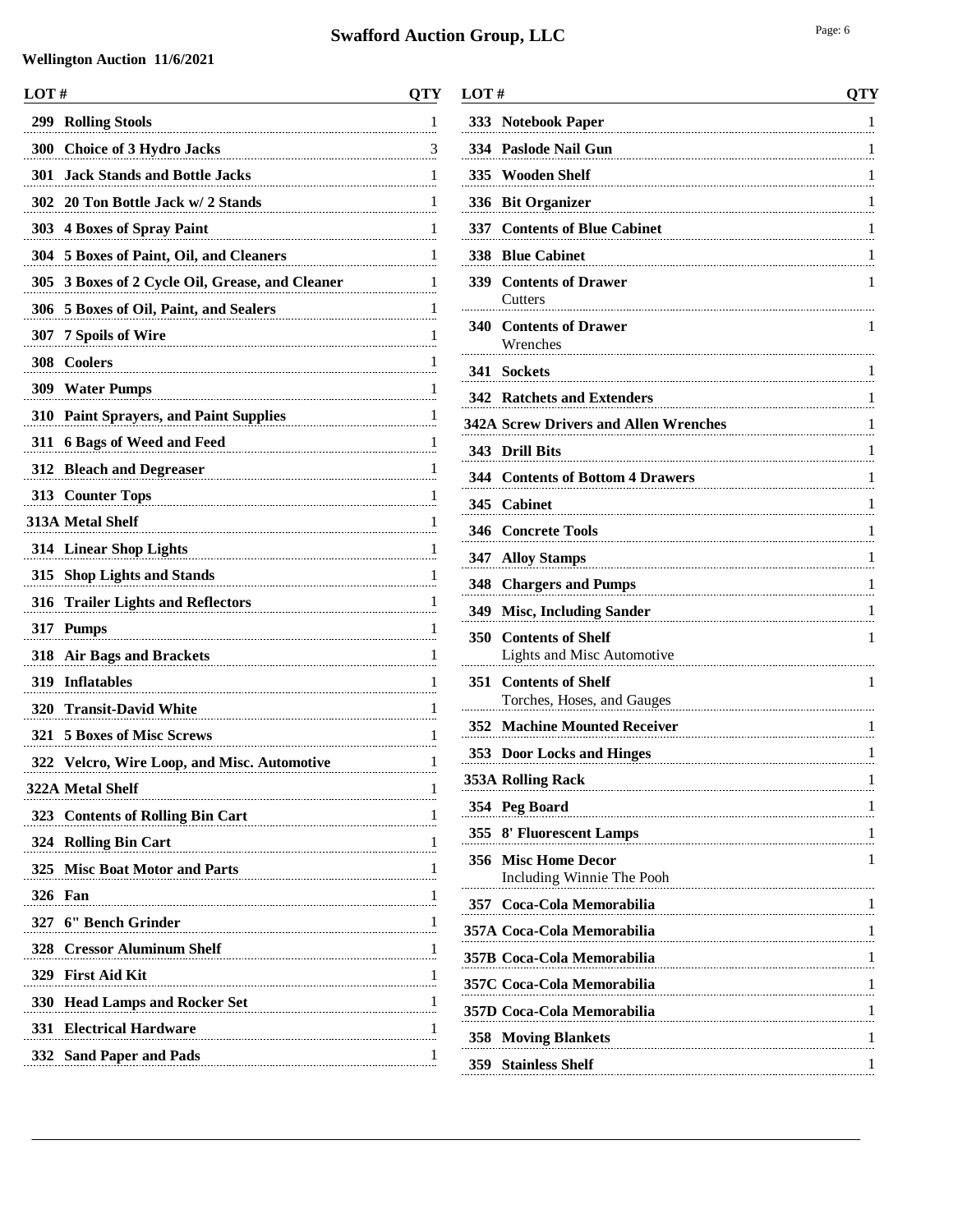| LOT#                                                                                    | OTY           |
|-----------------------------------------------------------------------------------------|---------------|
| <b>Rolling Stools</b><br>299                                                            | 1             |
| 300<br><b>Choice of 3 Hydro Jacks</b>                                                   | $\frac{3}{2}$ |
| 301<br><b>Jack Stands and Bottle Jacks</b><br>                                          | 1             |
| 302<br>20 Ton Bottle Jack w/ 2 Stands                                                   | 1             |
| <b>4 Boxes of Spray Paint</b><br>303                                                    | 1             |
| 304<br>5 Boxes of Paint, Oil, and Cleaners                                              | 1             |
| 305<br>3 Boxes of 2 Cycle Oil, Grease, and Cleaner                                      | 1             |
| 306<br>5 Boxes of Oil, Paint, and Sealers                                               | 1             |
| 7 Spoils of Wire<br>307                                                                 | 1             |
| 308<br><b>Coolers</b>                                                                   | 1             |
| 309<br><b>Water Pumps</b>                                                               | 1             |
| <b>Paint Sprayers, and Paint Supplies</b><br>310                                        | 1             |
| 6 Bags of Weed and Feed<br>311                                                          | 1             |
| 312<br><b>Bleach and Degreaser</b>                                                      | 1             |
| 313 Counter Tops                                                                        | 1             |
| 313A Metal Shelf                                                                        | 1             |
| 314 Linear Shop Lights                                                                  | 1             |
| 315<br><b>Shop Lights and Stands</b>                                                    | 1             |
| <b>Trailer Lights and Reflectors</b><br>316                                             | 1             |
| 317<br><b>Pumps</b>                                                                     | 1             |
| <b>Air Bags and Brackets</b><br>318                                                     | 1             |
| 319<br><b>Inflatables</b>                                                               | 1             |
| 320<br><b>Transit-David White</b>                                                       | 1             |
| <b>5 Boxes of Misc Screws</b><br>321                                                    | 1             |
| <b>Velcro, Wire Loop, and Misc. Automotive</b><br>322                                   | 1             |
| 322A Metal Shelf                                                                        |               |
| 323 Contents of Rolling Bin Cart                                                        | 1             |
| 324 Rolling Bin Cart<br>1                                                               | 1             |
| 325 Misc Boat Motor and Parts<br>$\begin{array}{c c c c c} & & 1 \\ \hline \end{array}$ |               |
| <b>326 Fan</b>                                                                          | 1             |
| 327 6" Bench Grinder                                                                    |               |
| 328 Cressor Aluminum Shelf                                                              | 1             |
| 329 First Aid Kit                                                                       | 1             |
| 330 Head Lamps and Rocker Set 1                                                         |               |
| <b>331 Electrical Hardware</b><br>1                                                     | 1             |
| 332 Sand Paper and Pads                                                                 | 1             |
|                                                                                         |               |

| 333 | <b>Notebook Paper</b><br>1                                  |
|-----|-------------------------------------------------------------|
|     | 334 Paslode Nail Gun<br>1                                   |
|     | 335 Wooden Shelf<br>1                                       |
| 336 | <b>Bit Organizer</b><br>1                                   |
| 337 | <b>Contents of Blue Cabinet</b><br>1                        |
| 338 | <b>Blue Cabinet</b><br>1                                    |
| 339 | <b>Contents of Drawer</b><br>1<br>Cutters                   |
| 340 | <b>Contents of Drawer</b><br>1<br>Wrenches                  |
| 341 | Sockets<br>1                                                |
|     | 342 Ratchets and Extenders<br>1                             |
|     | <b>342A Screw Drivers and Allen Wrenches</b><br>1           |
|     | 343 Drill Bits<br>L                                         |
|     | 344 Contents of Bottom 4 Drawers<br>1                       |
| 345 | <b>Cabinet</b><br>1                                         |
| 346 | <b>Concrete Tools</b><br>1                                  |
| 347 | <b>Alloy Stamps</b><br>1                                    |
| 348 | <b>Chargers and Pumps</b><br>1                              |
| 349 | <b>Misc, Including Sander</b><br>1<br>                      |
| 350 | <b>Contents of Shelf</b><br>1<br>Lights and Misc Automotive |
| 351 | <b>Contents of Shelf</b><br>1<br>Torches, Hoses, and Gauges |
|     | <b>352 Machine Mounted Receiver</b><br>1                    |
|     | 353 Door Locks and Hinges<br>1                              |
|     | 353A Rolling Rack<br>1                                      |
|     | 354 Peg Board<br>1                                          |
|     | 355 8' Fluorescent Lamps<br>1                               |
| 356 | <b>Misc Home Decor</b><br>1<br>Including Winnie The Pooh    |
| 357 | Coca-Cola Memorabilia<br>1                                  |
|     | 357A Coca-Cola Memorabilia<br>1                             |
|     | 357B Coca-Cola Memorabilia<br>$\frac{1}{2}$                 |
|     | 357C Coca-Cola Memorabilia<br>1                             |
|     | 357D Coca-Cola Memorabilia<br>1                             |

 **Moving Blankets** 1 **Stainless Shelf** 1

**LOT # QTY**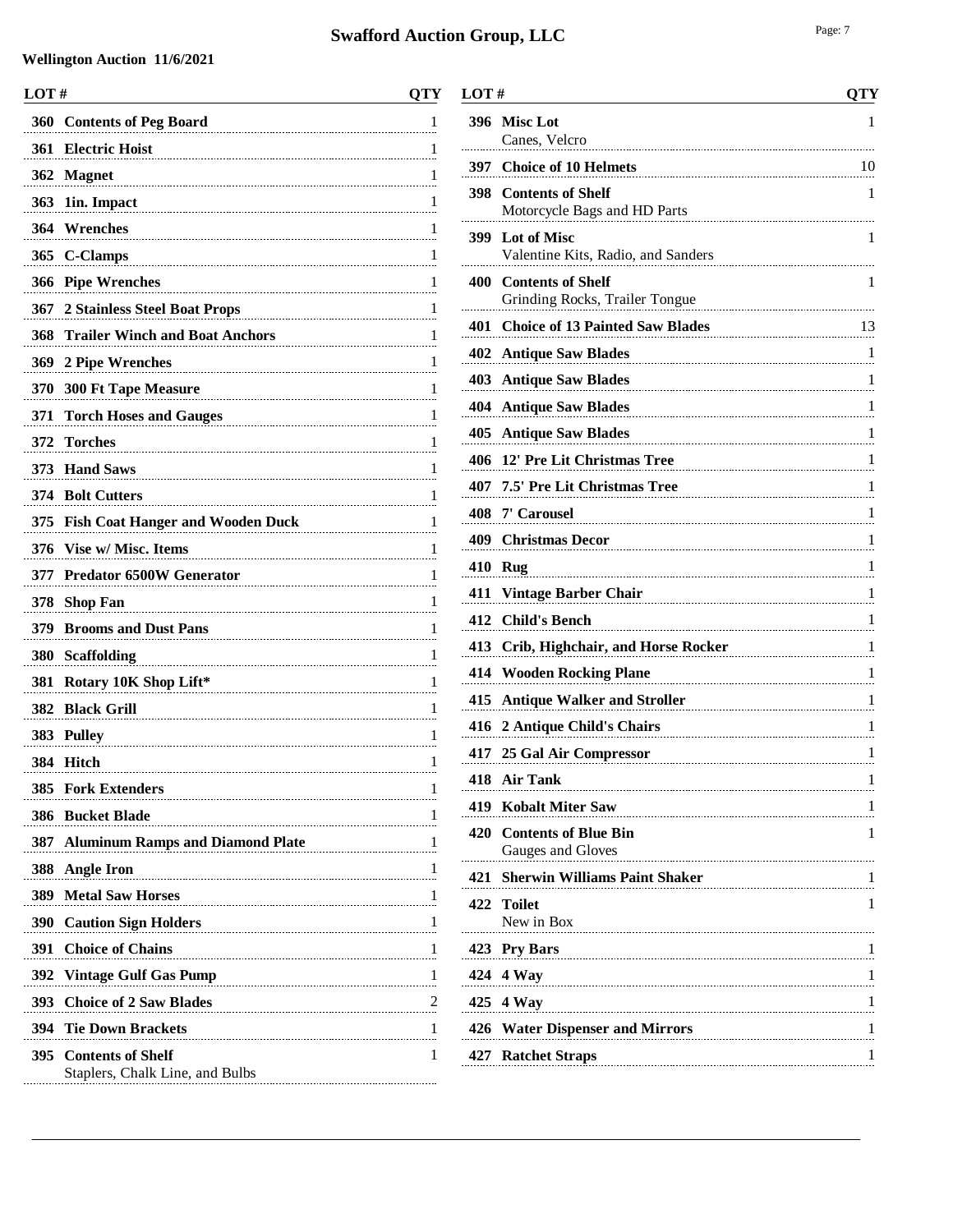#### **Wellington Auction 11/6/2021**

| LOT# |                                                                                            | <b>QTY</b> |
|------|--------------------------------------------------------------------------------------------|------------|
| 360  | <b>Contents of Peg Board</b>                                                               | 1          |
|      | 361 Electric Hoist                                                                         | 1          |
|      | 362 Magnet                                                                                 | 1          |
| 363  | 1in. Impact                                                                                | 1          |
|      | 364 Wrenches                                                                               | 1          |
| 365  | <b>C-Clamps</b>                                                                            | 1          |
|      | 366 Pipe Wrenches                                                                          | 1          |
| 367  | 2 Stainless Steel Boat Props                                                               | 1          |
| 368  | <b>Trailer Winch and Boat Anchors</b>                                                      | 1          |
|      | 369 2 Pipe Wrenches                                                                        | 1          |
| 370  | <b>300 Ft Tape Measure</b>                                                                 | 1          |
| 371  | <b>Torch Hoses and Gauges</b>                                                              | 1          |
| 372  | <b>Torches</b>                                                                             | 1          |
|      | 373 Hand Saws                                                                              | 1          |
|      | 374 Bolt Cutters                                                                           | 1          |
|      | 375 Fish Coat Hanger and Wooden Duck                                                       | 1          |
|      | 376 Vise w/ Misc. Items                                                                    | 1          |
| 377  | <b>Predator 6500W Generator</b>                                                            | 1          |
| 378  | <b>Shop Fan</b>                                                                            | 1          |
|      | 379 Brooms and Dust Pans                                                                   | 1          |
| 380  | <b>Scaffolding</b>                                                                         | 1          |
| 381  | Rotary 10K Shop Lift*                                                                      | 1          |
|      | 382 Black Grill                                                                            | 1          |
|      | 383 Pulley                                                                                 | 1          |
|      | 384 Hitch                                                                                  | 1          |
| 385  | <b>Fork Extenders</b>                                                                      | 1          |
| 386  | <b>Bucket Blade</b>                                                                        | 1          |
| 387  | <b>Aluminum Ramps and Diamond Plate</b><br>the contract of the contract of the contract of | 1          |
| 388  | <b>Angle Iron</b>                                                                          | 1          |
|      | <b>389 Metal Saw Horses</b>                                                                | 1          |
|      | 390 Caution Sign Holders                                                                   | 1          |
| 391  | <b>Choice of Chains</b>                                                                    | 1          |
| 392  | <b>Vintage Gulf Gas Pump</b>                                                               | 1          |
| 393  | <b>Choice of 2 Saw Blades</b>                                                              | 2          |
| 394  | <b>Tie Down Brackets</b>                                                                   | 1          |
|      | 395 Contents of Shelf<br>Staplers, Chalk Line, and Bulbs                                   | 1          |
|      |                                                                                            |            |

| LOT# |                                                         | <b>QTY</b> |
|------|---------------------------------------------------------|------------|
|      | 396 Misc Lot<br>Canes, Velcro                           | 1          |
|      | 397 Choice of 10 Helmets                                | 10         |
|      | 398 Contents of Shelf<br>Motorcycle Bags and HD Parts   | 1          |
|      | 399 Lot of Misc<br>Valentine Kits, Radio, and Sanders   | 1          |
|      | 400 Contents of Shelf<br>Grinding Rocks, Trailer Tongue | 1          |
|      | 401 Choice of 13 Painted Saw Blades                     | 13         |
|      | <b>402 Antique Saw Blades</b>                           | 1          |
|      | <b>403 Antique Saw Blades</b>                           | 1          |
|      | <b>404 Antique Saw Blades</b>                           | 1          |
| 405  | <b>Antique Saw Blades</b>                               | 1          |
| 406  | 12' Pre Lit Christmas Tree                              | 1          |
|      | 407 7.5' Pre Lit Christmas Tree                         | 1          |
|      | 408 7' Carousel                                         | 1          |
|      | 409 Christmas Decor                                     | 1          |
|      | 410 Rug                                                 | 1          |
| 411  | Vintage Barber Chair                                    | 1          |
| 412  | <b>Child's Bench</b>                                    | 1          |
|      | 413 Crib, Highchair, and Horse Rocker                   | 1          |
|      | <b>414 Wooden Rocking Plane</b>                         | 1          |
|      | 415 Antique Walker and Stroller                         | 1          |
|      | 416 2 Antique Child's Chairs                            | 1          |
|      | 417 25 Gal Air Compressor                               | 1          |
|      | 418 Air Tank                                            | 1          |
|      | 419 Kobalt Miter Saw                                    | 1          |
| 420  | <b>Contents of Blue Bin</b><br>Gauges and Gloves        | 1          |
| 421  | <b>Sherwin Williams Paint Shaker</b>                    | 1          |
| 422  | <b>Toilet</b><br>New in Box                             | 1          |
|      | 423 Pry Bars                                            | 1          |
| 424  | 4 Way                                                   | 1          |
|      | 425 4 Way                                               | 1          |
|      |                                                         |            |

 **Water Dispenser and Mirrors** 1 **Ratchet Straps** 1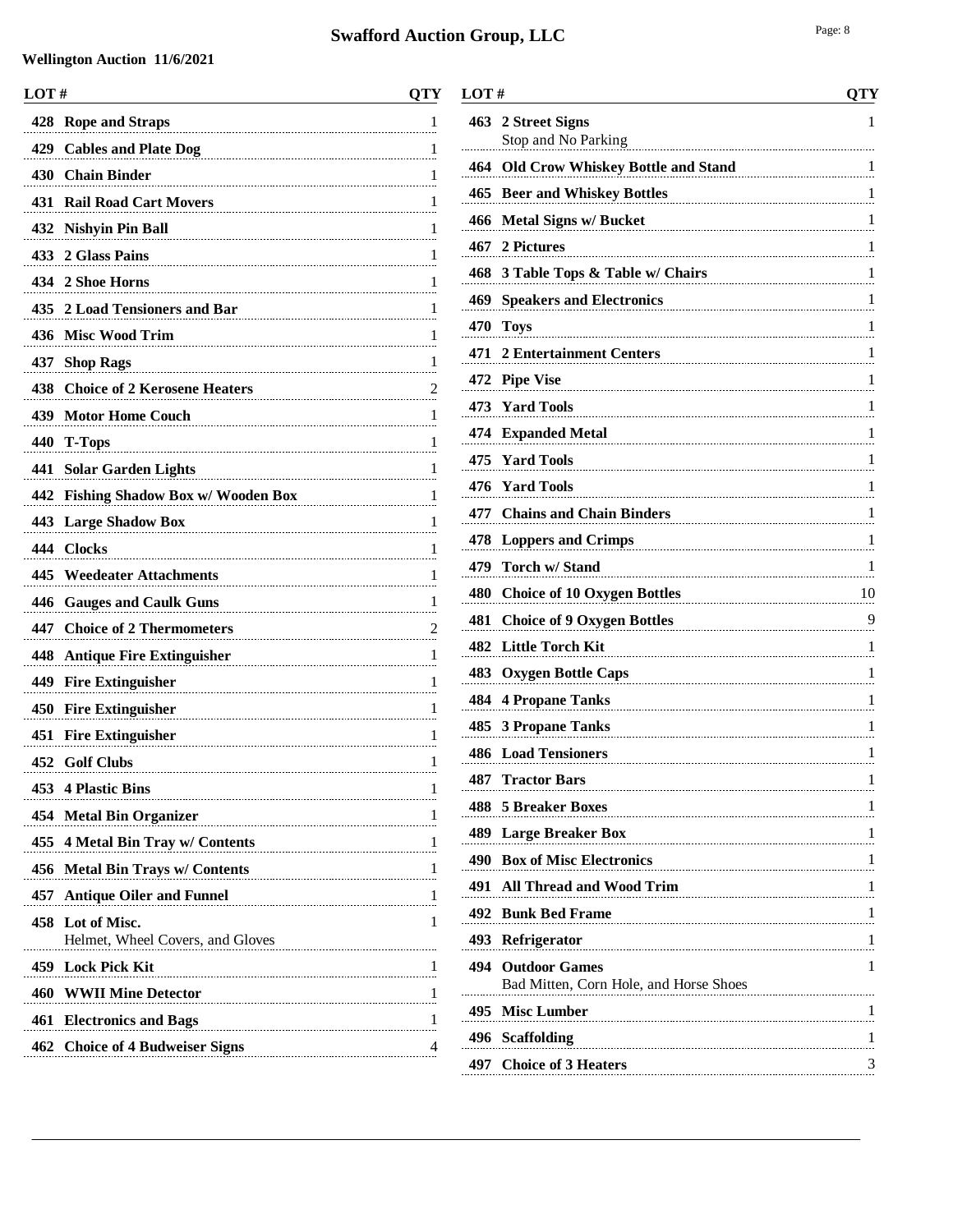| LOT# |                                                  | QTY           |
|------|--------------------------------------------------|---------------|
| 428  | <b>Rope and Straps</b>                           | 1             |
| 429  | <b>Cables and Plate Dog</b>                      | 1             |
| 430  | <b>Chain Binder</b>                              | 1             |
| 431  | <b>Rail Road Cart Movers</b>                     | 1             |
| 432  | <b>Nishyin Pin Ball</b>                          | 1             |
|      | 433 2 Glass Pains                                | 1             |
|      | 434 2 Shoe Horns                                 | 1             |
| 435  | 2 Load Tensioners and Bar                        | 1             |
| 436  | <b>Misc Wood Trim</b>                            | 1             |
| 437  | <b>Shop Rags</b>                                 | 1             |
| 438  | <b>Choice of 2 Kerosene Heaters</b>              | $\frac{2}{2}$ |
| 439  | <b>Motor Home Couch</b>                          | 1             |
|      | 440 T-Tops                                       | 1             |
| 441  | <b>Solar Garden Lights</b>                       | 1             |
| 442  | <b>Fishing Shadow Box w/ Wooden Box</b>          | 1             |
|      | 443 Large Shadow Box                             | 1             |
|      | 444 Clocks                                       | 1             |
| 445  | <b>Weedeater Attachments</b>                     | 1             |
| 446  | <b>Gauges and Caulk Guns</b>                     | 1             |
| 447  | <b>Choice of 2 Thermometers</b>                  | 2             |
|      | 448 Antique Fire Extinguisher                    | 1             |
|      | 449 Fire Extinguisher                            | 1             |
|      | 450 Fire Extinguisher                            | 1             |
|      | 451 Fire Extinguisher                            | 1             |
|      | 452 Golf Clubs                                   | 1             |
|      | 453 4 Plastic Bins                               | 1             |
| 454  | <b>Metal Bin Organizer</b>                       | 1             |
| 455  | 4 Metal Bin Tray w/ Contents                     | 1             |
| 456  | <b>Metal Bin Trays w/ Contents</b>               | 1             |
| 457  | <b>Antique Oiler and Funnel</b>                  | 1             |
| 458  | Lot of Misc.<br>Helmet, Wheel Covers, and Gloves | 1             |
|      | 459 Lock Pick Kit                                | 1             |
| 460  | <b>WWII Mine Detector</b>                        | 1             |
| 461  | <b>Electronics and Bags</b>                      | 1             |
| 462  | <b>Choice of 4 Budweiser Signs</b>               | 4             |
|      |                                                  |               |

| LOT#                                                               | QTY |
|--------------------------------------------------------------------|-----|
| 2 Street Signs<br>Stop and No Parking                              | 1   |
| <b>Old Crow Whiskey Bottle and Stand</b>                           | 1   |
| <b>Beer and Whiskey Bottles</b>                                    | 1   |
| <b>Metal Signs w/ Bucket</b>                                       | 1   |
| 2 Pictures<br>467                                                  | 1   |
| 3 Table Tops & Table w/ Chairs                                     | 1   |
| <b>Speakers and Electronics</b>                                    | 1   |
| <b>Toys</b>                                                        | 1   |
| <b>2 Entertainment Centers</b>                                     | 1   |
| 472 Pipe Vise                                                      | 1   |
| <b>Yard Tools</b>                                                  | 1   |
| 474 Expanded Metal                                                 | 1   |
| <b>Yard Tools</b>                                                  | 1   |
| <b>Yard Tools</b>                                                  | 1   |
| <b>Chains and Chain Binders</b>                                    | 1   |
| <b>Loppers and Crimps</b>                                          | 1   |
| Torch w/ Stand                                                     | 1   |
| <b>Choice of 10 Oxygen Bottles</b>                                 | 10  |
| <b>Choice of 9 Oxygen Bottles</b>                                  | 9   |
| <b>Little Torch Kit</b>                                            | 1   |
| <b>Oxygen Bottle Caps</b>                                          | 1   |
| 484 -<br><b>4 Propane Tanks</b>                                    | 1   |
| <b>3 Propane Tanks</b>                                             | 1   |
| <b>Load Tensioners</b>                                             | 1   |
| <b>Tractor Bars</b>                                                | 1   |
| 5 Breaker Boxes<br>488.                                            | 1   |
| 489 Large Breaker Box                                              | 1   |
| 490 Box of Misc Electronics                                        | 1   |
| 491 All Thread and Wood Trim                                       | 1   |
| <b>Bunk Bed Frame</b>                                              | 1   |
| Refrigerator                                                       | 1   |
| <b>494 Outdoor Games</b><br>Bad Mitten, Corn Hole, and Horse Shoes | 1   |
| 495 Misc Lumber                                                    | 1   |
|                                                                    |     |

 **Scaffolding** 1 **Choice of 3 Heaters** 3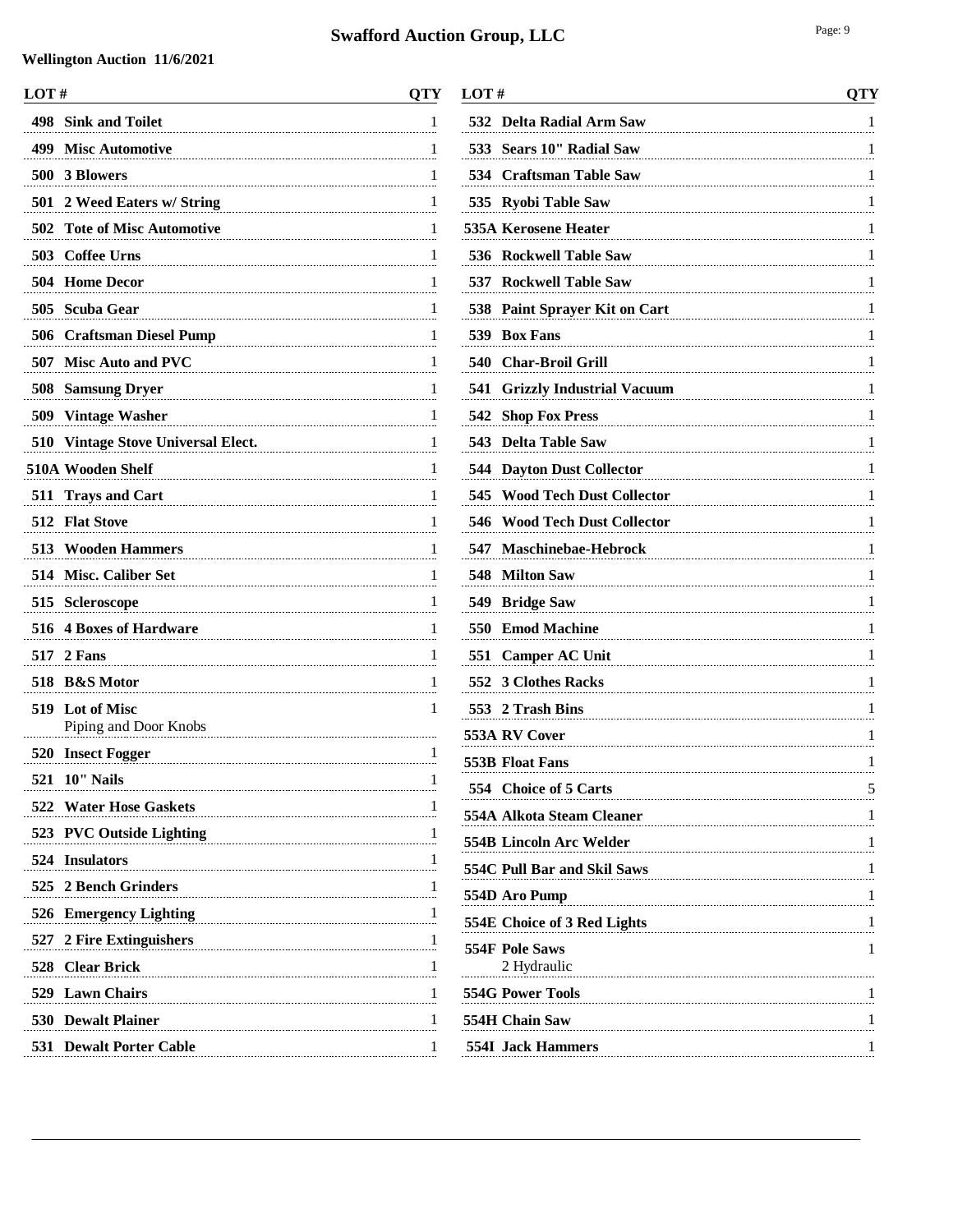| LOT# |                                      | <b>QTY</b> |
|------|--------------------------------------|------------|
| 498  | <b>Sink and Toilet</b>               | 1          |
| 499  | <b>Misc Automotive</b>               | 1          |
|      | 500 3 Blowers                        | 1          |
| 501  | 2 Weed Eaters w/ String              | 1          |
| 502  | <b>Tote of Misc Automotive</b>       | 1          |
|      | 503 Coffee Urns                      | 1          |
| 504  | <b>Home Decor</b>                    | 1          |
| 505  | <b>Scuba Gear</b>                    | 1          |
|      | 506 Craftsman Diesel Pump            | 1          |
|      | 507 Misc Auto and PVC                | 1          |
| 508  | <b>Samsung Dryer</b>                 | 1          |
|      | 509 Vintage Washer                   | 1          |
|      | 510 Vintage Stove Universal Elect.   | 1          |
|      | 510A Wooden Shelf                    | 1          |
|      | 511 Trays and Cart                   | 1          |
|      | 512 Flat Stove                       | 1          |
|      | <b>513</b> Wooden Hammers            | 1          |
| 514  | <b>Misc. Caliber Set</b>             | 1          |
|      | 515 Scleroscope                      | 1          |
| 516  | <b>4 Boxes of Hardware</b>           | 1          |
| 517  | 2 Fans                               | 1          |
| 518  | <b>B&amp;S</b> Motor                 | 1          |
| 519  | Lot of Misc<br>Piping and Door Knobs | 1          |
|      | 520 Insect Fogger                    | 1          |
| 521  | $10''$ Nails                         | 1          |
|      | 522 Water Hose Gaskets               | 1          |
|      | 523 PVC Outside Lighting             | 1          |
|      | 524 Insulators                       | 1          |
|      | 525 2 Bench Grinders                 |            |
|      | 526 Emergency Lighting               |            |
|      | 527 2 Fire Extinguishers             | 1          |
|      | 528 Clear Brick                      | 1          |
|      | 529 Lawn Chairs                      | 1          |
|      | <b>530 Dewalt Plainer</b>            | 1          |
|      | <b>531 Dewalt Porter Cable</b>       | 1          |

| LOT#                                    | <b>QTY</b> |
|-----------------------------------------|------------|
| 532<br><b>Delta Radial Arm Saw</b>      | 1          |
| 533 Sears 10" Radial Saw                | 1          |
| 534 Craftsman Table Saw                 | 1          |
| 535 Ryobi Table Saw                     | 1          |
| <b>535A Kerosene Heater</b>             | 1          |
| <b>Rockwell Table Saw</b><br>536        | 1          |
| <b>537 Rockwell Table Saw</b>           | 1          |
| 538<br><b>Paint Sprayer Kit on Cart</b> | 1          |
| 539 Box Fans                            | 1          |
| 540<br>Char-Broil Grill                 | 1          |
| <b>Grizzly Industrial Vacuum</b><br>541 | 1          |
| <b>Shop Fox Press</b><br>542            | 1          |
| <b>Delta Table Saw</b><br>543           | 1          |
| <b>544 Dayton Dust Collector</b>        | 1          |
| 545<br><b>Wood Tech Dust Collector</b>  | 1          |
| <b>Wood Tech Dust Collector</b><br>546  | 1          |
| <b>Maschinebae-Hebrock</b><br>547       | 1          |
| <b>Milton Saw</b><br>548                | 1          |
| 549 Bridge Saw                          | 1          |
| <b>Emod Machine</b><br>550              | 1          |
| 551<br><b>Camper AC Unit</b>            | 1          |
| <b>3 Clothes Racks</b><br>552           | 1          |
| 553 2 Trash Bins                        | 1          |
| 553A RV Cover                           | 1          |
| 553B Float Fans                         | 1          |
| 554 Choice of 5 Carts                   | 5          |
| 554A Alkota Steam Cleaner               | 1          |
| <b>554B Lincoln Arc Welder</b>          | 1          |
| 554C Pull Bar and Skil Saws             | 1          |
| 554D Aro Pump                           | 1          |
| 554E Choice of 3 Red Lights             | 1          |
| <b>554F Pole Saws</b><br>2 Hydraulic    | 1          |
| <b>554G Power Tools</b>                 | 1          |
| 554H Chain Saw                          | 1          |
| <b>554I</b> Jack Hammers                | 1          |
|                                         |            |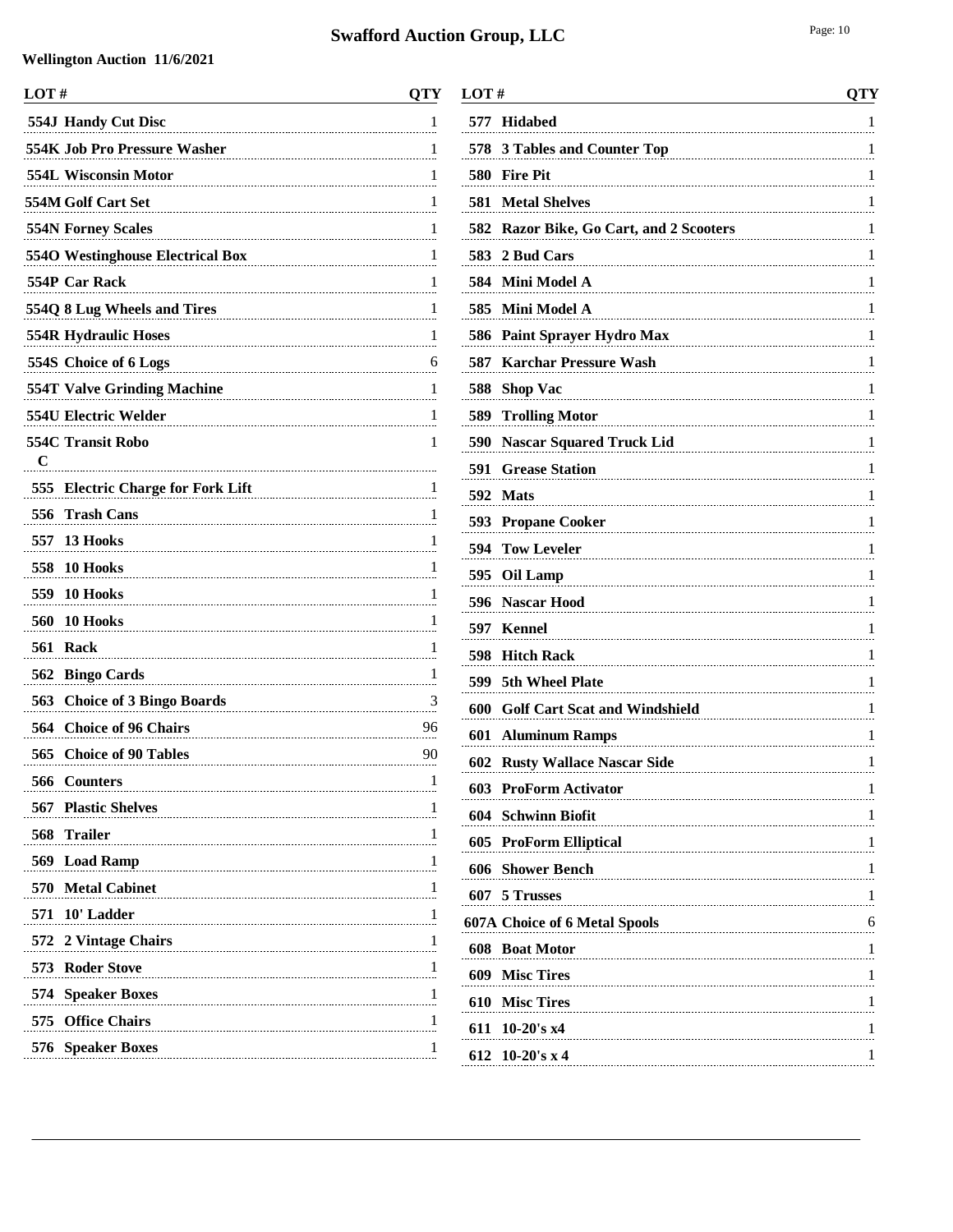l, l.

l,

l.

l.

| LOT#                               | <b>QTY</b>              |
|------------------------------------|-------------------------|
| 554J Handy Cut Disc                | 1                       |
| 554K Job Pro Pressure Washer       | 1                       |
| 554L Wisconsin Motor               | 1                       |
| 554M Golf Cart Set                 | 1                       |
| <b>554N Forney Scales</b>          | 1                       |
| 5540 Westinghouse Electrical Box   | 1                       |
| 554P Car Rack                      | 1                       |
| 554Q 8 Lug Wheels and Tires        | 1                       |
| <b>554R Hydraulic Hoses</b>        | 1                       |
| 554S Choice of 6 Logs              | 6                       |
| <b>554T Valve Grinding Machine</b> | 1                       |
| 554U Electric Welder               | 1                       |
| <b>554C Transit Robo</b>           | 1                       |
| $\mathbf C$                        |                         |
| 555 Electric Charge for Fork Lift  | 1                       |
| 556<br><b>Trash Cans</b>           | 1                       |
| 13 Hooks<br>557                    | 1                       |
| 558<br>10 Hooks                    | 1                       |
| 10 Hooks<br>559                    | 1                       |
| 560<br>10 Hooks                    | 1                       |
| 561<br>Rack                        | 1                       |
| 562 Bingo Cards                    | 1                       |
| 563 Choice of 3 Bingo Boards       | $\overline{\mathbf{3}}$ |
| <b>Choice of 96 Chairs</b><br>564  | 96                      |
| 565<br><b>Choice of 90 Tables</b>  | 90                      |
| 566 Counters                       | 1                       |
| <b>567 Plastic Shelves</b>         | 1                       |
| <b>Trailer</b><br>568              | 1                       |
| 569 Load Ramp                      | 1                       |
| 570 Metal Cabinet                  | $\overline{1}$          |
| 571 10' Ladder                     | 1                       |
| 572 2 Vintage Chairs               | 1                       |
| 573 Roder Stove                    | 1                       |
| 574 Speaker Boxes                  | 1                       |
| 575<br><b>Office Chairs</b>        | 1                       |
| 576 Speaker Boxes                  | 1                       |
|                                    |                         |

| LOT # |                                                                            | QTY                           |
|-------|----------------------------------------------------------------------------|-------------------------------|
|       | 577 Hidabed                                                                | 1                             |
| 578   | 3 Tables and Counter Top                                                   | 1                             |
|       | 580 Fire Pit                                                               | 1                             |
| 581   | <b>Metal Shelves</b>                                                       | 1                             |
|       | 582 Razor Bike, Go Cart, and 2 Scooters                                    | 1                             |
| 583   | 2 Bud Cars                                                                 | 1                             |
|       | 584 Mini Model A                                                           | 1                             |
|       | 585 Mini Model A                                                           | 1                             |
|       | 586 Paint Sprayer Hydro Max                                                | 1                             |
| 587   | <b>Karchar Pressure Wash</b>                                               | 1                             |
| 588   | <b>Shop Vac</b>                                                            | 1                             |
| 589   | <b>Trolling Motor</b>                                                      | 1                             |
| 590   | <b>Nascar Squared Truck Lid</b>                                            | 1                             |
| 591   | <b>Grease Station</b>                                                      | 1                             |
|       | 592 Mats                                                                   | 1                             |
|       | 593 Propane Cooker                                                         | 1                             |
| 594   | <b>Tow Leveler</b>                                                         | 1                             |
|       | 595 Oil Lamp                                                               | 1                             |
| 596   | <b>Nascar Hood</b>                                                         | 1                             |
| 597   | Kennel                                                                     | 1                             |
| 598   | <b>Hitch Rack</b>                                                          | 1                             |
|       | 599 5th Wheel Plate                                                        | 1                             |
| 600   | <b>Golf Cart Scat and Windshield</b>                                       | 1                             |
|       | <b>601 Aluminum Ramps</b>                                                  | 1                             |
|       | 602 Rusty Wallace Nascar Side                                              | 1                             |
| 603   | <b>ProForm Activator</b>                                                   |                               |
|       | 604 Schwinn Biofit                                                         | $\frac{1}{\cdot \cdot \cdot}$ |
|       | 605 ProForm Elliptical                                                     |                               |
|       | <b>606</b> Shower Bench                                                    | 1                             |
|       | 607 5 Trusses                                                              | 1                             |
|       | <b>607A Choice of 6 Metal Spools</b><br>$\begin{array}{c c} 6 \end{array}$ |                               |
|       | 608 Boat Motor                                                             | 1                             |
|       | 609 Misc Tires                                                             | 1                             |
|       | 610 Misc Tires                                                             | $\overline{1}$                |
|       | 611 10-20's x4                                                             | 1                             |
|       | 612 10-20's x 4                                                            | 1                             |
|       |                                                                            |                               |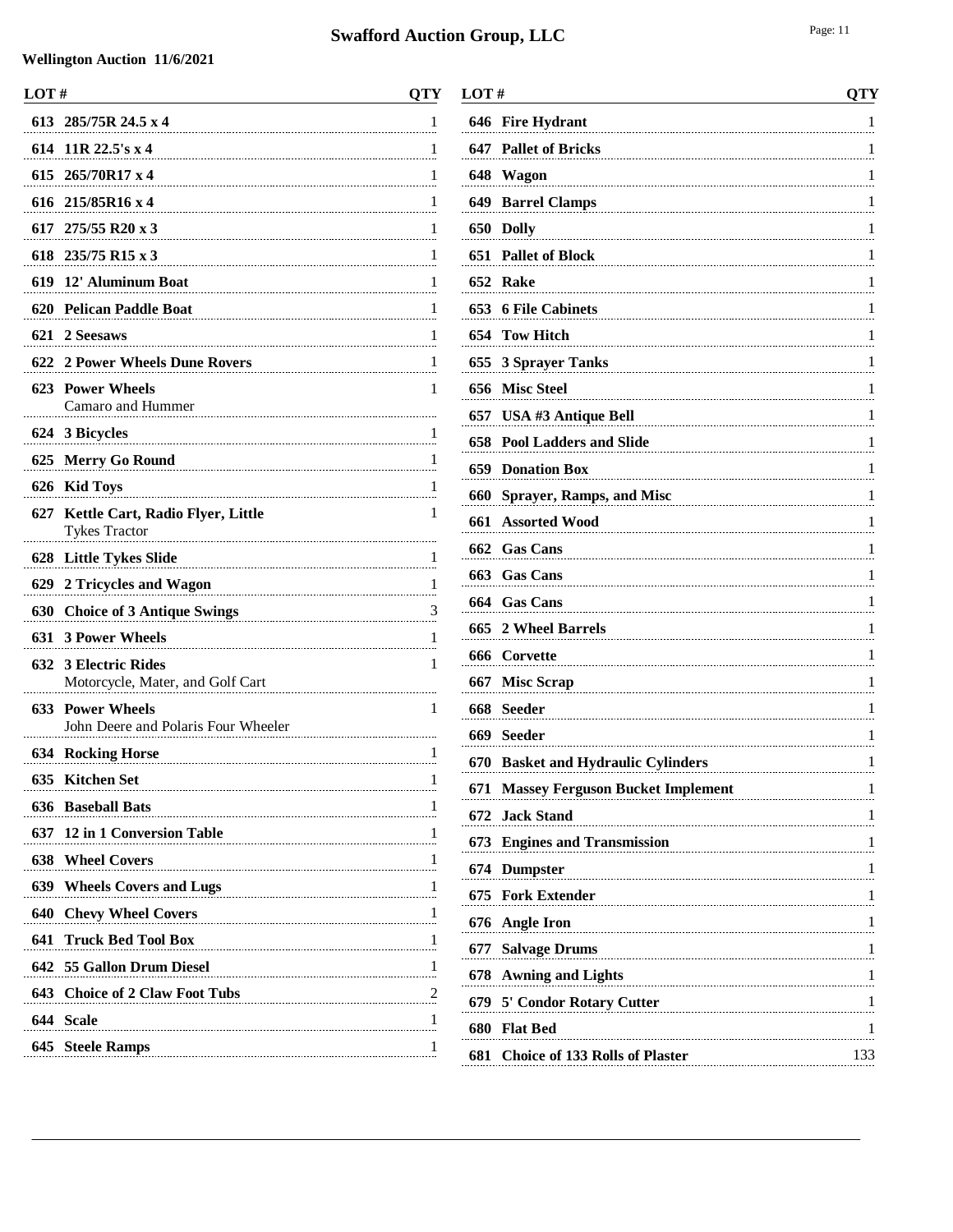| LOT# |                                                                                          | <b>QTY</b> |
|------|------------------------------------------------------------------------------------------|------------|
|      | 613 285/75R 24.5 x 4                                                                     | 1          |
|      | 614 11R 22.5's x 4                                                                       | 1          |
|      | 615 265/70R17 x 4                                                                        | 1          |
|      | 616 215/85R16 x 4                                                                        | 1          |
|      | 617 275/55 R20 x 3                                                                       | 1          |
|      | 618 235/75 R15 x 3                                                                       | 1          |
| 619  | 12' Aluminum Boat                                                                        | 1          |
| 620  | <b>Pelican Paddle Boat</b>                                                               | 1          |
|      | 621 2 Seesaws                                                                            | 1          |
|      | 622 2 Power Wheels Dune Rovers                                                           | 1          |
|      | 623 Power Wheels<br>Camaro and Hummer                                                    | 1          |
|      | 624 3 Bicycles                                                                           | 1          |
| 625  | <b>Merry Go Round</b>                                                                    | 1          |
| 626  | <b>Kid Toys</b>                                                                          | 1          |
|      | 627 Kettle Cart, Radio Flyer, Little<br><b>Tykes Tractor</b>                             | 1          |
| 628  | <b>Little Tykes Slide</b>                                                                | 1          |
|      | 629 2 Tricycles and Wagon                                                                | 1          |
| 630  | <b>Choice of 3 Antique Swings</b>                                                        | 3          |
| 631  | <b>3 Power Wheels</b>                                                                    | 1          |
|      | 632 3 Electric Rides<br>Motorcycle, Mater, and Golf Cart                                 | 1          |
| 633  | <b>Power Wheels</b><br>John Deere and Polaris Four Wheeler                               | 1          |
|      | <b>634 Rocking Horse</b>                                                                 | 1          |
|      | 635 Kitchen Set                                                                          | 1          |
|      | <b>636</b> Baseball Bats                                                                 | 1          |
|      | 637 12 in 1 Conversion Table                                                             |            |
|      | <b>638 Wheel Covers</b>                                                                  | 1          |
|      | 639 Wheels Covers and Lugs 1                                                             |            |
|      | <b>640 Chevy Wheel Covers</b>                                                            |            |
|      | <b>641 Truck Bed Tool Box</b>                                                            |            |
|      | 642 55 Gallon Drum Diesel                                                                | 1          |
|      | 643 Choice of 2 Claw Foot Tubs<br>$\begin{array}{c c c c c} 2 & 2 \\ \hline \end{array}$ |            |
|      | 644 Scale                                                                                |            |
|      | 645 Steele Ramps                                                                         | 1          |
|      |                                                                                          |            |

| LOT# |                                               | <b>QTY</b> |
|------|-----------------------------------------------|------------|
| 646  | <b>Fire Hydrant</b>                           | 1          |
| 647  | <b>Pallet of Bricks</b>                       | 1          |
| 648  | Wagon                                         | 1          |
| 649  | <b>Barrel Clamps</b>                          | 1          |
|      | 650 Dolly                                     | 1          |
| 651  | <b>Pallet of Block</b>                        | 1          |
|      | 652 Rake                                      | 1          |
|      | 653 6 File Cabinets                           | 1          |
| 654  | <b>Tow Hitch</b>                              | 1          |
| 655  | <b>3 Sprayer Tanks</b>                        | 1          |
| 656  | <b>Misc Steel</b>                             | 1          |
| 657  | USA #3 Antique Bell                           | 1          |
| 658  | <b>Pool Ladders and Slide</b>                 | 1          |
| 659  | <b>Donation Box</b>                           | 1          |
| 660  | <b>Sprayer, Ramps, and Misc</b>               | 1          |
| 661  | <b>Assorted Wood</b>                          | 1          |
| 662  | <b>Gas Cans</b>                               | 1          |
| 663  | <b>Gas Cans</b>                               | 1          |
| 664  | <b>Gas Cans</b>                               | 1          |
| 665  | 2 Wheel Barrels                               | 1          |
| 666  | Corvette                                      | 1          |
| 667  | <b>Misc Scrap</b>                             | 1          |
| 668  | Seeder                                        | 1          |
| 669  | <b>Seeder</b>                                 | 1          |
| 670  | <b>Basket and Hydraulic Cylinders</b>         | 1          |
| 671  | <b>Massey Ferguson Bucket Implement</b>       | 1          |
| 672  | <b>Jack Stand</b>                             | 1          |
|      | 673 Engines and Transmission<br>$\frac{1}{2}$ |            |
|      | 674 Dumpster                                  | 1          |
|      | 675 Fork Extender                             | 1          |
| 676  | <b>Angle Iron</b>                             | 1          |
| 677  | <b>Salvage Drums</b>                          | 1          |
| 678  | <b>Awning and Lights</b>                      | 1          |
|      | 679 5' Condor Rotary Cutter                   | 1          |
|      | 680 Flat Bed                                  | 1          |
| 681  | <b>Choice of 133 Rolls of Plaster</b>         | 133        |